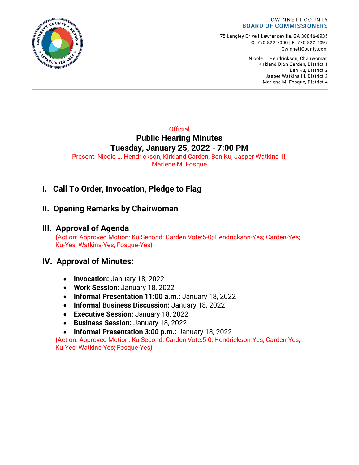

75 Langley Drive | Lawrenceville, GA 30046-6935 0:770.822.7000 | F: 770.822.7097 GwinnettCounty.com

> Nicole L. Hendrickson, Chairwoman Kirkland Dion Carden, District 1 Ben Ku. District 2 Jasper Watkins III, District 3 Marlene M. Fosque, District 4

**Official Public Hearing Minutes Tuesday, January 25, 2022 - 7:00 PM** Present: Nicole L. Hendrickson, Kirkland Carden, Ben Ku, Jasper Watkins III, Marlene M. Fosque

# **I. Call To Order, Invocation, Pledge to Flag**

## **II. Opening Remarks by Chairwoman**

## **III. Approval of Agenda**

{Action: Approved Motion: Ku Second: Carden Vote:5-0; Hendrickson-Yes; Carden-Yes; Ku-Yes; Watkins-Yes; Fosque-Yes}

## **IV. Approval of Minutes:**

- **Invocation:** January 18, 2022
- **Work Session:** January 18, 2022
- **Informal Presentation 11:00 a.m.:** January 18, 2022
- **Informal Business Discussion:** January 18, 2022
- **Executive Session:** January 18, 2022
- **Business Session:** January 18, 2022
- **Informal Presentation 3:00 p.m.:** January 18, 2022

{Action: Approved Motion: Ku Second: Carden Vote:5-0; Hendrickson-Yes; Carden-Yes; Ku-Yes; Watkins-Yes; Fosque-Yes}

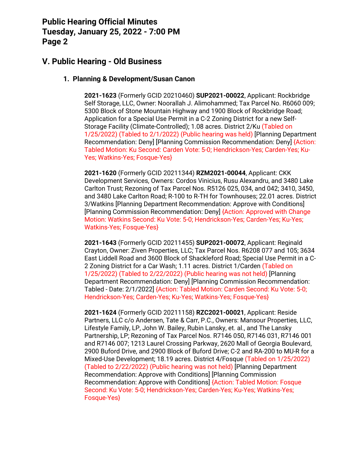## **V. Public Hearing - Old Business**

#### **1. Planning & Development/Susan Canon**

**2021-1623** (Formerly GCID 20210460) **SUP2021-00022**, Applicant: Rockbridge Self Storage, LLC, Owner: Noorallah J. Alimohammed; Tax Parcel No. R6060 009; 5300 Block of Stone Mountain Highway and 1900 Block of Rockbridge Road; Application for a Special Use Permit in a C-2 Zoning District for a new Self-Storage Facility (Climate-Controlled); 1.08 acres. District 2/Ku (Tabled on 1/25/2022) (Tabled to 2/1/2022) (Public hearing was held) [Planning Department Recommendation: Deny] [Planning Commission Recommendation: Deny] {Action: Tabled Motion: Ku Second: Carden Vote: 5-0; Hendrickson-Yes; Carden-Yes; Ku-Yes; Watkins-Yes; Fosque-Yes}

**2021-1620** (Formerly GCID 20211344) **RZM2021-00044**, Applicant: CKK Development Services, Owners: Cordos Vinicius, Rusu Alexandru, and 3480 Lake Carlton Trust; Rezoning of Tax Parcel Nos. R5126 025, 034, and 042; 3410, 3450, and 3480 Lake Carlton Road; R-100 to R-TH for Townhouses; 22.01 acres. District 3/Watkins [Planning Department Recommendation: Approve with Conditions] [Planning Commission Recommendation: Deny] {Action: Approved with Change Motion: Watkins Second: Ku Vote: 5-0; Hendrickson-Yes; Carden-Yes; Ku-Yes; Watkins-Yes; Fosque-Yes}

**2021-1643** (Formerly GCID 20211455) **SUP2021-00072**, Applicant: Reginald Crayton, Owner: Ziven Properties, LLC; Tax Parcel Nos. R6208 077 and 105; 3634 East Liddell Road and 3600 Block of Shackleford Road; Special Use Permit in a C-2 Zoning District for a Car Wash; 1.11 acres. District 1/Carden (Tabled on 1/25/2022) (Tabled to 2/22/2022) (Public hearing was not held) [Planning Department Recommendation: Deny] [Planning Commission Recommendation: Tabled - Date: 2/1/2022] {Action: Tabled Motion: Carden Second: Ku Vote: 5-0; Hendrickson-Yes; Carden-Yes; Ku-Yes; Watkins-Yes; Fosque-Yes}

**2021-1624** (Formerly GCID 20211158) **RZC2021-00021**, Applicant: Reside Partners, LLC c/o Andersen, Tate & Carr, P.C., Owners: Mansour Properties, LLC, Lifestyle Family, LP, John W. Bailey, Rubin Lansky, et. al., and The Lansky Partnership, LP; Rezoning of Tax Parcel Nos. R7146 050, R7146 031, R7146 001 and R7146 007; 1213 Laurel Crossing Parkway, 2620 Mall of Georgia Boulevard, 2900 Buford Drive, and 2900 Block of Buford Drive; C-2 and RA-200 to MU-R for a Mixed-Use Development; 18.19 acres. District 4/Fosque (Tabled on 1/25/2022) (Tabled to 2/22/2022) (Public hearing was not held) [Planning Department Recommendation: Approve with Conditions] [Planning Commission Recommendation: Approve with Conditions] {Action: Tabled Motion: Fosque Second: Ku Vote: 5-0; Hendrickson-Yes; Carden-Yes; Ku-Yes; Watkins-Yes; Fosque-Yes}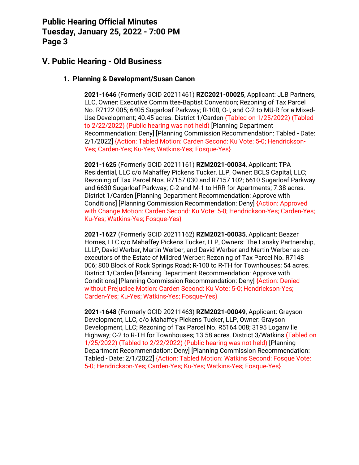## **V. Public Hearing - Old Business**

#### **1. Planning & Development/Susan Canon**

**2021-1646** (Formerly GCID 20211461) **RZC2021-00025**, Applicant: JLB Partners, LLC, Owner: Executive Committee-Baptist Convention; Rezoning of Tax Parcel No. R7122 005; 6405 Sugarloaf Parkway; R-100, O-I, and C-2 to MU-R for a Mixed-Use Development; 40.45 acres. District 1/Carden (Tabled on 1/25/2022) (Tabled to 2/22/2022) (Public hearing was not held) [Planning Department Recommendation: Deny] [Planning Commission Recommendation: Tabled - Date: 2/1/2022] {Action: Tabled Motion: Carden Second: Ku Vote: 5-0; Hendrickson-Yes; Carden-Yes; Ku-Yes; Watkins-Yes; Fosque-Yes}

**2021-1625** (Formerly GCID 20211161) **RZM2021-00034**, Applicant: TPA Residential, LLC c/o Mahaffey Pickens Tucker, LLP, Owner: BCLS Capital, LLC; Rezoning of Tax Parcel Nos. R7157 030 and R7157 102; 6610 Sugarloaf Parkway and 6630 Sugarloaf Parkway; C-2 and M-1 to HRR for Apartments; 7.38 acres. District 1/Carden [Planning Department Recommendation: Approve with Conditions] [Planning Commission Recommendation: Deny] {Action: Approved with Change Motion: Carden Second: Ku Vote: 5-0; Hendrickson-Yes; Carden-Yes; Ku-Yes; Watkins-Yes; Fosque-Yes}

**2021-1627** (Formerly GCID 20211162) **RZM2021-00035**, Applicant: Beazer Homes, LLC c/o Mahaffey Pickens Tucker, LLP, Owners: The Lansky Partnership, LLLP, David Werber, Martin Werber, and David Werber and Martin Werber as coexecutors of the Estate of Mildred Werber; Rezoning of Tax Parcel No. R7148 006; 800 Block of Rock Springs Road; R-100 to R-TH for Townhouses; 54 acres. District 1/Carden [Planning Department Recommendation: Approve with Conditions] [Planning Commission Recommendation: Deny] {Action: Denied without Prejudice Motion: Carden Second: Ku Vote: 5-0; Hendrickson-Yes; Carden-Yes; Ku-Yes; Watkins-Yes; Fosque-Yes}

**2021-1648** (Formerly GCID 20211463) **RZM2021-00049**, Applicant: Grayson Development, LLC, c/o Mahaffey Pickens Tucker, LLP, Owner: Grayson Development, LLC; Rezoning of Tax Parcel No. R5164 008; 3195 Loganville Highway; C-2 to R-TH for Townhouses; 13.58 acres. District 3/Watkins (Tabled on 1/25/2022) (Tabled to 2/22/2022) (Public hearing was not held) [Planning Department Recommendation: Deny] [Planning Commission Recommendation: Tabled - Date: 2/1/2022] {Action: Tabled Motion: Watkins Second: Fosque Vote: 5-0; Hendrickson-Yes; Carden-Yes; Ku-Yes; Watkins-Yes; Fosque-Yes}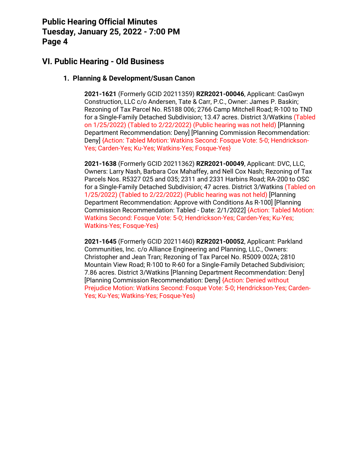## **VI. Public Hearing - Old Business**

#### **1. Planning & Development/Susan Canon**

**2021-1621** (Formerly GCID 20211359) **RZR2021-00046**, Applicant: CasGwyn Construction, LLC c/o Andersen, Tate & Carr, P.C., Owner: James P. Baskin; Rezoning of Tax Parcel No. R5188 006; 2766 Camp Mitchell Road; R-100 to TND for a Single-Family Detached Subdivision; 13.47 acres. District 3/Watkins (Tabled on 1/25/2022) (Tabled to 2/22/2022) (Public hearing was not held) [Planning Department Recommendation: Deny] [Planning Commission Recommendation: Deny] {Action: Tabled Motion: Watkins Second: Fosque Vote: 5-0; Hendrickson-Yes; Carden-Yes; Ku-Yes; Watkins-Yes; Fosque-Yes}

**2021-1638** (Formerly GCID 20211362) **RZR2021-00049**, Applicant: DVC, LLC, Owners: Larry Nash, Barbara Cox Mahaffey, and Nell Cox Nash; Rezoning of Tax Parcels Nos. R5327 025 and 035; 2311 and 2331 Harbins Road; RA-200 to OSC for a Single-Family Detached Subdivision; 47 acres. District 3/Watkins (Tabled on 1/25/2022) (Tabled to 2/22/2022) (Public hearing was not held) [Planning Department Recommendation: Approve with Conditions As R-100] [Planning Commission Recommendation: Tabled - Date: 2/1/2022] {Action: Tabled Motion: Watkins Second: Fosque Vote: 5-0; Hendrickson-Yes; Carden-Yes; Ku-Yes; Watkins-Yes; Fosque-Yes}

**2021-1645** (Formerly GCID 20211460) **RZR2021-00052**, Applicant: Parkland Communities, Inc. c/o Alliance Engineering and Planning, LLC., Owners: Christopher and Jean Tran; Rezoning of Tax Parcel No. R5009 002A; 2810 Mountain View Road; R-100 to R-60 for a Single-Family Detached Subdivision; 7.86 acres. District 3/Watkins [Planning Department Recommendation: Deny] [Planning Commission Recommendation: Deny] {Action: Denied without Prejudice Motion: Watkins Second: Fosque Vote: 5-0; Hendrickson-Yes; Carden-Yes; Ku-Yes; Watkins-Yes; Fosque-Yes}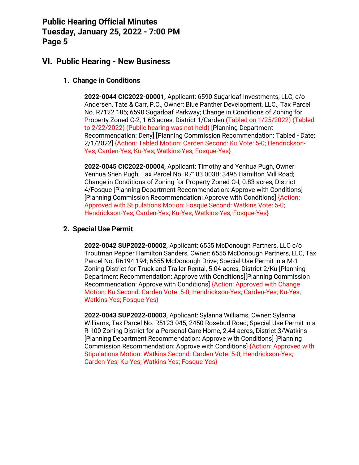### **VI. Public Hearing - New Business**

### **1. Change in Conditions**

**2022-0044 CIC2022-00001,** Applicant: 6590 Sugarloaf Investments, LLC, c/o Andersen, Tate & Carr, P.C., Owner: Blue Panther Development, LLC., Tax Parcel No. R7122 185; 6590 Sugarloaf Parkway; Change in Conditions of Zoning for Property Zoned C-2, 1.63 acres, District 1/Carden (Tabled on 1/25/2022) (Tabled to 2/22/2022) (Public hearing was not held) [Planning Department Recommendation: Deny] [Planning Commission Recommendation: Tabled - Date: 2/1/2022] {Action: Tabled Motion: Carden Second: Ku Vote: 5-0; Hendrickson-Yes; Carden-Yes; Ku-Yes; Watkins-Yes; Fosque-Yes}

**2022-0045 CIC2022-00004,** Applicant: Timothy and Yenhua Pugh, Owner: Yenhua Shen Pugh, Tax Parcel No. R7183 003B; 3495 Hamilton Mill Road; Change in Conditions of Zoning for Property Zoned O-I, 0.83 acres, District 4/Fosque [Planning Department Recommendation: Approve with Conditions] [Planning Commission Recommendation: Approve with Conditions] {Action: Approved with Stipulations Motion: Fosque Second: Watkins Vote: 5-0; Hendrickson-Yes; Carden-Yes; Ku-Yes; Watkins-Yes; Fosque-Yes}

### **2. Special Use Permit**

**2022-0042 SUP2022-00002,** Applicant: 6555 McDonough Partners, LLC c/o Troutman Pepper Hamilton Sanders, Owner: 6555 McDonough Partners, LLC, Tax Parcel No. R6194 194; 6555 McDonough Drive; Special Use Permit in a M-1 Zoning District for Truck and Trailer Rental, 5.04 acres, District 2/Ku [Planning Department Recommendation: Approve with Conditions][Planning Commission Recommendation: Approve with Conditions] {Action: Approved with Change Motion: Ku Second: Carden Vote: 5-0; Hendrickson-Yes; Carden-Yes; Ku-Yes; Watkins-Yes; Fosque-Yes}

**2022-0043 SUP2022-00003,** Applicant: Sylanna Williams, Owner: Sylanna Williams, Tax Parcel No. R5123 045; 2450 Rosebud Road; Special Use Permit in a R-100 Zoning District for a Personal Care Home, 2.44 acres, District 3/Watkins [Planning Department Recommendation: Approve with Conditions] [Planning Commission Recommendation: Approve with Conditions] {Action: Approved with Stipulations Motion: Watkins Second: Carden Vote: 5-0; Hendrickson-Yes; Carden-Yes; Ku-Yes; Watkins-Yes; Fosque-Yes}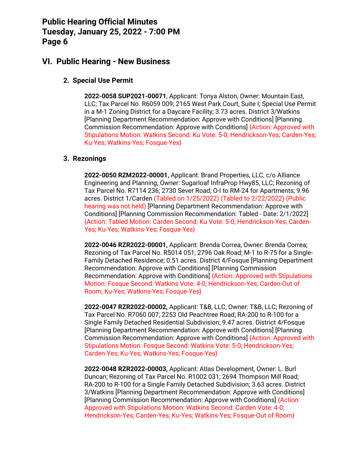### **VI. Public Hearing - New Business**

### **2. Special Use Permit**

**2022-0058 SUP2021-00071**, Applicant: Tonya Alston, Owner: Mountain East, LLC; Tax Parcel No. R6059 009; 2165 West Park Court, Suite I; Special Use Permit in a M-1 Zoning District for a Daycare Facility; 3.73 acres. District 3/Watkins [Planning Department Recommendation: Approve with Conditions] [Planning Commission Recommendation: Approve with Conditions] {Action: Approved with Stipulations Motion: Watkins Second: Ku Vote: 5-0; Hendrickson-Yes; Carden-Yes; Ku-Yes; Watkins-Yes; Fosque-Yes}

#### **3. Rezonings**

**2022-0050 RZM2022-00001,** Applicant: Brand Properties, LLC, c/o Alliance Engineering and Planning, Owner: Sugarloaf InfraProp Hwy85, LLC; Rezoning of Tax Parcel No. R7114 236; 2730 Sever Road; O-I to RM-24 for Apartments; 9.96 acres. District 1/Carden (Tabled on 1/25/2022) (Tabled to 2/22/2022) (Public hearing was not held) [Planning Department Recommendation: Approve with Conditions] [Planning Commission Recommendation: Tabled - Date: 2/1/2022] {Action: Tabled Motion: Carden Second: Ku Vote: 5-0; Hendrickson-Yes; Carden-Yes; Ku-Yes; Watkins-Yes; Fosque-Yes}

**2022-0046 RZR2022-00001,** Applicant: Brenda Correa, Owner: Brenda Correa; Rezoning of Tax Parcel No. R5014 051; 2796 Oak Road; M-1 to R-75 for a Single-Family Detached Residence; 0.51 acres. District 4/Fosque [Planning Department Recommendation: Approve with Conditions] [Planning Commission Recommendation: Approve with Conditions] {Action: Approved with Stipulations Motion: Fosque Second: Watkins Vote: 4-0; Hendrickson-Yes; Carden-Out of Room; Ku-Yes; Watkins-Yes; Fosque-Yes}

**2022-0047 RZR2022-00002,** Applicant: T&B, LLC, Owner: T&B, LLC; Rezoning of Tax Parcel No. R7060 007; 2253 Old Peachtree Road; RA-200 to R-100 for a Single Family Detached Residential Subdivision; 9.47 acres. District 4/Fosque [Planning Department Recommendation: Approve with Conditions] [Planning Commission Recommendation: Approve with Conditions] {Action: Approved with Stipulations Motion: Fosque Second: Watkins Vote: 5-0; Hendrickson-Yes; Carden-Yes; Ku-Yes; Watkins-Yes; Fosque-Yes}

**2022-0048 RZR2022-00003,** Applicant: Atlas Development, Owner: L. Burl Duncan; Rezoning of Tax Parcel No. R1002 031; 2694 Thompson Mill Road; RA-200 to R-100 for a Single Family Detached Subdivision; 3.63 acres. District 3/Watkins [Planning Department Recommendation: Approve with Conditions] [Planning Commission Recommendation: Approve with Conditions] {Action: Approved with Stipulations Motion: Watkins Second: Carden Vote: 4-0; Hendrickson-Yes; Carden-Yes; Ku-Yes; Watkins-Yes; Fosque-Out of Room}